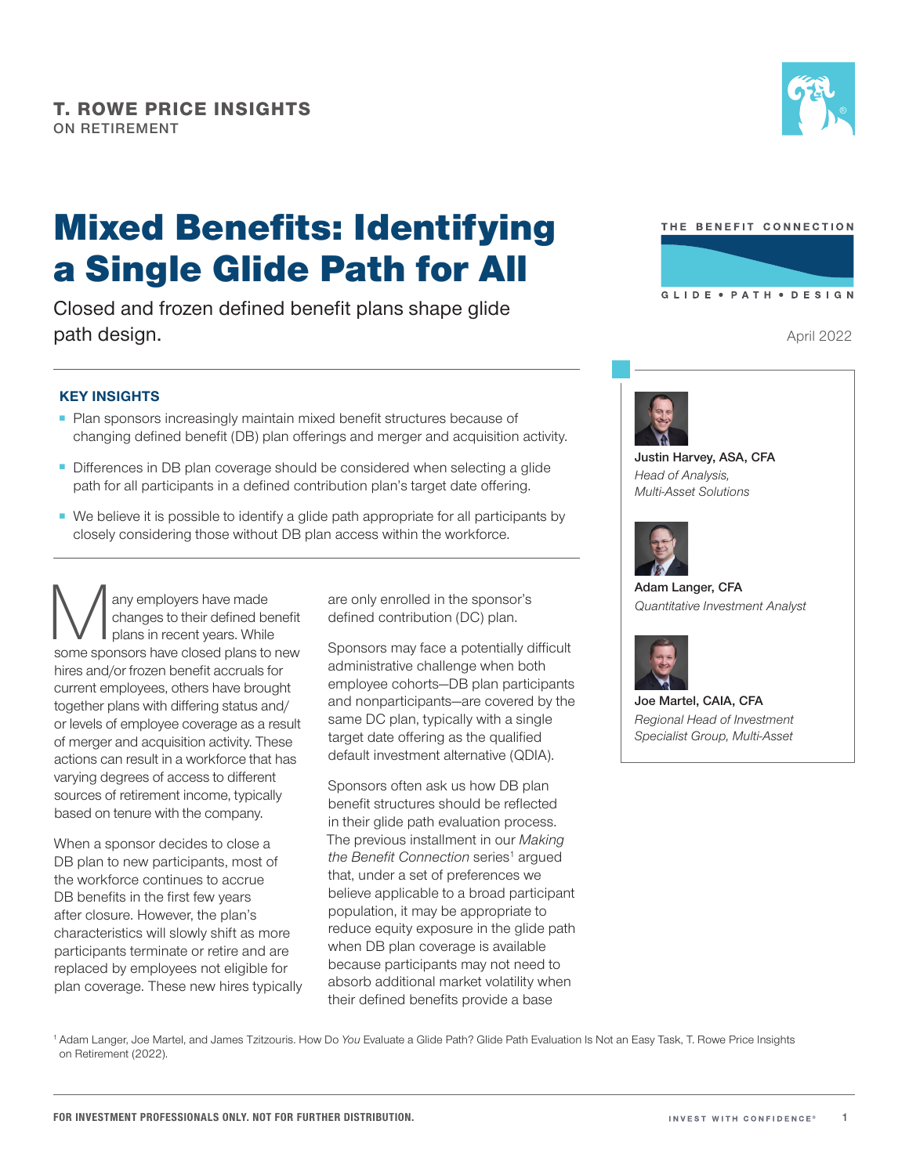

# Mixed Benefits: Identifying a Single Glide Path for All

Closed and frozen defined benefit plans shape glide path design.

## **KEY INSIGHTS**

- Plan sponsors increasingly maintain mixed benefit structures because of changing defined benefit (DB) plan offerings and merger and acquisition activity.
- Differences in DB plan coverage should be considered when selecting a glide path for all participants in a defined contribution plan's target date offering.
- We believe it is possible to identify a glide path appropriate for all participants by closely considering those without DB plan access within the workforce.

Many employers have made<br>
changes to their defined benefit<br>
some sponsors have closed plans to new changes to their defined benefit plans in recent years. While hires and/or frozen benefit accruals for current employees, others have brought together plans with differing status and/ or levels of employee coverage as a result of merger and acquisition activity. These actions can result in a workforce that has varying degrees of access to different sources of retirement income, typically based on tenure with the company.

When a sponsor decides to close a DB plan to new participants, most of the workforce continues to accrue DB benefits in the first few years after closure. However, the plan's characteristics will slowly shift as more participants terminate or retire and are replaced by employees not eligible for plan coverage. These new hires typically are only enrolled in the sponsor's defined contribution (DC) plan.

Sponsors may face a potentially difficult administrative challenge when both employee cohorts—DB plan participants and nonparticipants—are covered by the same DC plan, typically with a single target date offering as the qualified default investment alternative (QDIA).

Sponsors often ask us how DB plan benefit structures should be reflected in their glide path evaluation process. The previous installment in our *Making*  the Benefit Connection series<sup>1</sup> argued that, under a set of preferences we believe applicable to a broad participant population, it may be appropriate to reduce equity exposure in the glide path when DB plan coverage is available because participants may not need to absorb additional market volatility when their defined benefits provide a base



April 2022



**Justin Harvey, ASA, CFA** *Head of Analysis, Multi‑Asset Solutions*



**Adam Langer, CFA** *Quantitative Investment Analyst*



**Joe Martel, CAIA, CFA** *Regional Head of Investment Specialist Group, Multi-Asset*

<sup>1</sup> Adam Langer, Joe Martel, and James Tzitzouris. How Do *You* Evaluate a Glide Path? Glide Path Evaluation Is Not an Easy Task, T. Rowe Price Insights on Retirement (2022).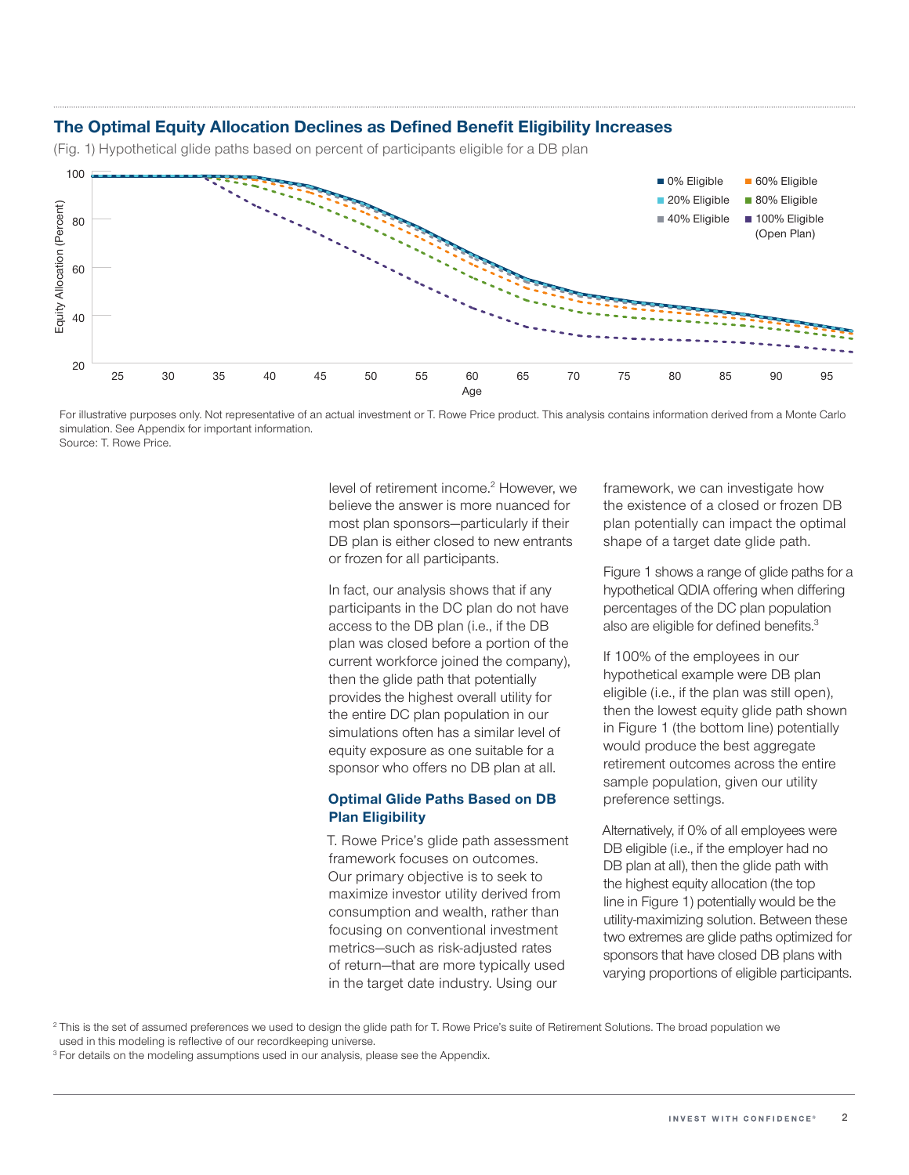### **The Optimal Equity Allocation Declines as Defined Benefit Eligibility Increases**

(Fig. 1) Hypothetical glide paths based on percent of participants eligible for a DB plan



For illustrative purposes only. Not representative of an actual investment or T. Rowe Price product. This analysis contains information derived from a Monte Carlo simulation. See Appendix for important information. Source: T. Rowe Price.

level of retirement income.<sup>2</sup> However, we believe the answer is more nuanced for most plan sponsors—particularly if their DB plan is either closed to new entrants or frozen for all participants.

In fact, our analysis shows that if any participants in the DC plan do not have access to the DB plan (i.e., if the DB plan was closed before a portion of the current workforce joined the company), then the glide path that potentially provides the highest overall utility for the entire DC plan population in our simulations often has a similar level of equity exposure as one suitable for a sponsor who offers no DB plan at all.

### **Optimal Glide Paths Based on DB Plan Eligibility**

T. Rowe Price's glide path assessment framework focuses on outcomes. Our primary objective is to seek to maximize investor utility derived from consumption and wealth, rather than focusing on conventional investment metrics—such as risk‑adjusted rates of return—that are more typically used in the target date industry. Using our

framework, we can investigate how the existence of a closed or frozen DB plan potentially can impact the optimal shape of a target date glide path.

Figure 1 shows a range of glide paths for a hypothetical QDIA offering when differing percentages of the DC plan population also are eligible for defined benefits.<sup>3</sup>

If 100% of the employees in our hypothetical example were DB plan eligible (i.e., if the plan was still open), then the lowest equity glide path shown in Figure 1 (the bottom line) potentially would produce the best aggregate retirement outcomes across the entire sample population, given our utility preference settings.

Alternatively, if 0% of all employees were DB eligible (i.e., if the employer had no DB plan at all), then the glide path with the highest equity allocation (the top line in Figure 1) potentially would be the utility‑maximizing solution. Between these two extremes are glide paths optimized for sponsors that have closed DB plans with varying proportions of eligible participants.

<sup>3</sup> For details on the modeling assumptions used in our analysis, please see the Appendix.

<sup>&</sup>lt;sup>2</sup> This is the set of assumed preferences we used to design the glide path for T. Rowe Price's suite of Retirement Solutions. The broad population we used in this modeling is reflective of our recordkeeping universe.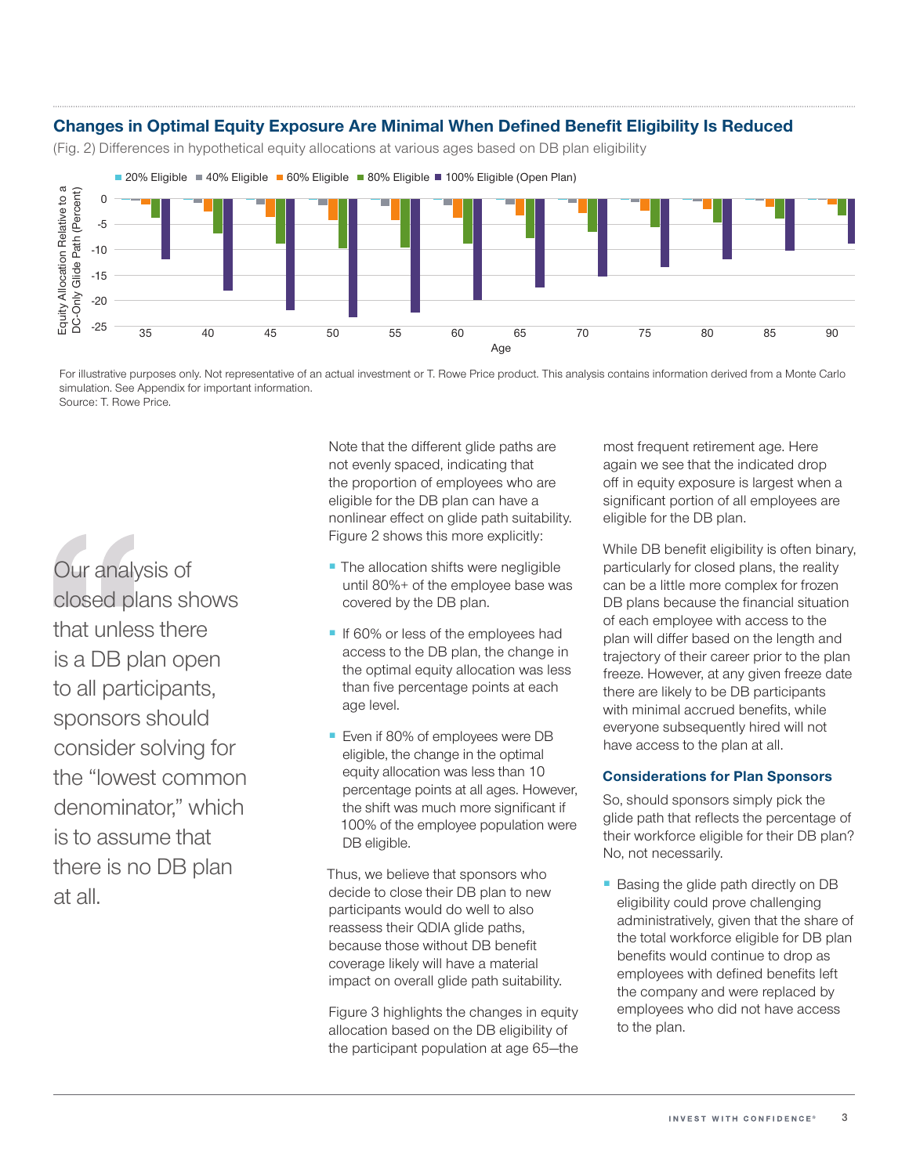# **Changes in Optimal Equity Exposure Are Minimal When Defined Benefit Eligibility Is Reduced**

(Fig. 2) Differences in hypothetical equity allocations at various ages based on DB plan eligibility



For illustrative purposes only. Not representative of an actual investment or T. Rowe Price product. This analysis contains information derived from a Monte Carlo simulation. See Appendix for important information. Source: T. Rowe Price.

Our analysis of closed plans shows that unless there is a DB plan open to all participants, sponsors should consider solving for the "lowest common denominator," which is to assume that there is no DB plan at all.

Note that the different glide paths are not evenly spaced, indicating that the proportion of employees who are eligible for the DB plan can have a nonlinear effect on glide path suitability. Figure 2 shows this more explicitly:

- The allocation shifts were negligible until 80%+ of the employee base was covered by the DB plan.
- If 60% or less of the employees had access to the DB plan, the change in the optimal equity allocation was less than five percentage points at each age level.
- Even if 80% of employees were DB eligible, the change in the optimal equity allocation was less than 10 percentage points at all ages. However, the shift was much more significant if 100% of the employee population were DB eligible.

Thus, we believe that sponsors who decide to close their DB plan to new participants would do well to also reassess their QDIA glide paths, because those without DB benefit coverage likely will have a material impact on overall glide path suitability.

Figure 3 highlights the changes in equity allocation based on the DB eligibility of the participant population at age 65—the

most frequent retirement age. Here again we see that the indicated drop off in equity exposure is largest when a significant portion of all employees are eligible for the DB plan.

While DB benefit eligibility is often binary, particularly for closed plans, the reality can be a little more complex for frozen DB plans because the financial situation of each employee with access to the plan will differ based on the length and trajectory of their career prior to the plan freeze. However, at any given freeze date there are likely to be DB participants with minimal accrued benefits, while everyone subsequently hired will not have access to the plan at all.

### **Considerations for Plan Sponsors**

So, should sponsors simply pick the glide path that reflects the percentage of their workforce eligible for their DB plan? No, not necessarily.

■ Basing the glide path directly on DB eligibility could prove challenging administratively, given that the share of the total workforce eligible for DB plan benefits would continue to drop as employees with defined benefits left the company and were replaced by employees who did not have access to the plan.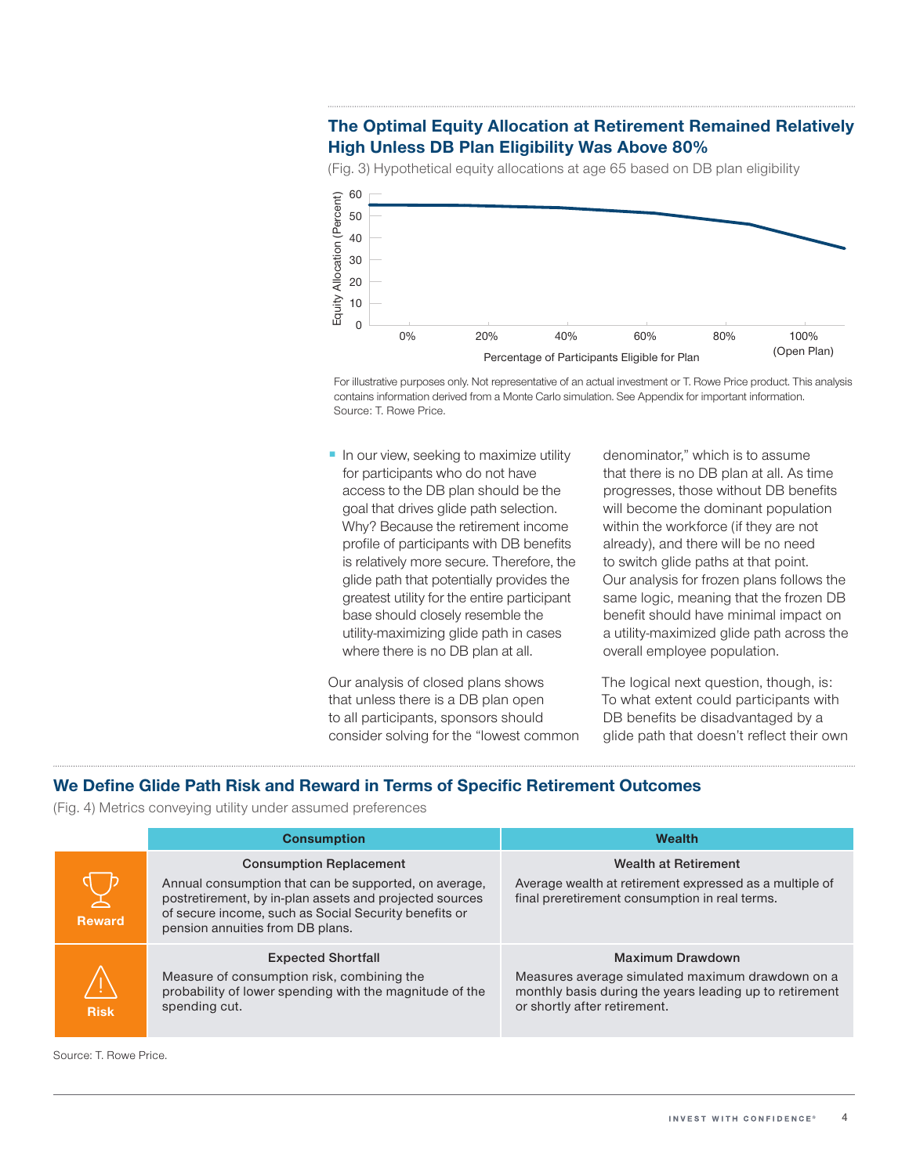# **The Optimal Equity Allocation at Retirement Remained Relatively High Unless DB Plan Eligibility Was Above 80%**

(Fig. 3) Hypothetical equity allocations at age 65 based on DB plan eligibility



For illustrative purposes only. Not representative of an actual investment or T. Rowe Price product. This analysis contains information derived from a Monte Carlo simulation. See Appendix for important information. Source: T. Rowe Price.

■ In our view, seeking to maximize utility for participants who do not have access to the DB plan should be the goal that drives glide path selection. Why? Because the retirement income profile of participants with DB benefits is relatively more secure. Therefore, the glide path that potentially provides the greatest utility for the entire participant base should closely resemble the utility‑maximizing glide path in cases where there is no DB plan at all.

Our analysis of closed plans shows that unless there is a DB plan open to all participants, sponsors should consider solving for the "lowest common denominator," which is to assume that there is no DB plan at all. As time progresses, those without DB benefits will become the dominant population within the workforce (if they are not already), and there will be no need to switch glide paths at that point. Our analysis for frozen plans follows the same logic, meaning that the frozen DB benefit should have minimal impact on a utility‑maximized glide path across the overall employee population.

The logical next question, though, is: To what extent could participants with DB benefits be disadvantaged by a glide path that doesn't reflect their own

## **We Define Glide Path Risk and Reward in Terms of Specific Retirement Outcomes**

(Fig. 4) Metrics conveying utility under assumed preferences

|               | <b>Consumption</b>                                                                                                                                                                                                                              | <b>Wealth</b>                                                                                                                                                          |  |  |
|---------------|-------------------------------------------------------------------------------------------------------------------------------------------------------------------------------------------------------------------------------------------------|------------------------------------------------------------------------------------------------------------------------------------------------------------------------|--|--|
| <b>Reward</b> | <b>Consumption Replacement</b><br>Annual consumption that can be supported, on average,<br>postretirement, by in-plan assets and projected sources<br>of secure income, such as Social Security benefits or<br>pension annuities from DB plans. | <b>Wealth at Retirement</b><br>Average wealth at retirement expressed as a multiple of<br>final preretirement consumption in real terms.                               |  |  |
| <b>Risk</b>   | <b>Expected Shortfall</b><br>Measure of consumption risk, combining the<br>probability of lower spending with the magnitude of the<br>spending cut.                                                                                             | <b>Maximum Drawdown</b><br>Measures average simulated maximum drawdown on a<br>monthly basis during the years leading up to retirement<br>or shortly after retirement. |  |  |

Source: T. Rowe Price.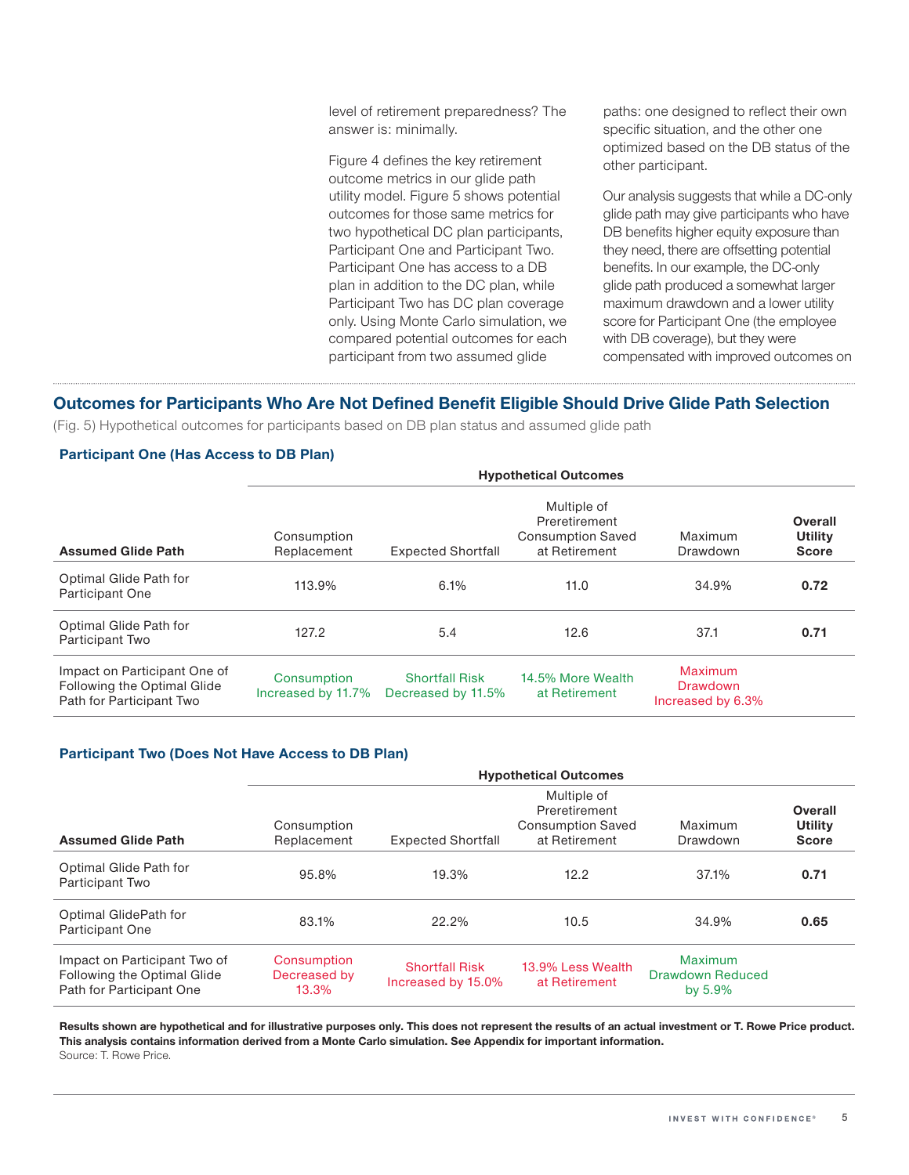level of retirement preparedness? The answer is: minimally.

Figure 4 defines the key retirement outcome metrics in our glide path utility model. Figure 5 shows potential outcomes for those same metrics for two hypothetical DC plan participants, Participant One and Participant Two. Participant One has access to a DB plan in addition to the DC plan, while Participant Two has DC plan coverage only. Using Monte Carlo simulation, we compared potential outcomes for each participant from two assumed glide

paths: one designed to reflect their own specific situation, and the other one optimized based on the DB status of the other participant.

Our analysis suggests that while a DC‑only glide path may give participants who have DB benefits higher equity exposure than they need, there are offsetting potential benefits. In our example, the DC‑only glide path produced a somewhat larger maximum drawdown and a lower utility score for Participant One (the employee with DB coverage), but they were compensated with improved outcomes on

## **Outcomes for Participants Who Are Not Defined Benefit Eligible Should Drive Glide Path Selection**

(Fig. 5) Hypothetical outcomes for participants based on DB plan status and assumed glide path

### **Participant One (Has Access to DB Plan)**

|                                                                                         | <b>Hypothetical Outcomes</b>      |                                             |                                                                           |                                          |                                    |  |  |
|-----------------------------------------------------------------------------------------|-----------------------------------|---------------------------------------------|---------------------------------------------------------------------------|------------------------------------------|------------------------------------|--|--|
| <b>Assumed Glide Path</b>                                                               | Consumption<br>Replacement        | <b>Expected Shortfall</b>                   | Multiple of<br>Preretirement<br><b>Consumption Saved</b><br>at Retirement | Maximum<br>Drawdown                      | Overall<br>Utility<br><b>Score</b> |  |  |
| Optimal Glide Path for<br><b>Participant One</b>                                        | 113.9%                            | 6.1%                                        | 11.0                                                                      | 34.9%                                    | 0.72                               |  |  |
| Optimal Glide Path for<br>Participant Two                                               | 127.2                             | 5.4                                         | 12.6                                                                      | 37.1                                     | 0.71                               |  |  |
| Impact on Participant One of<br>Following the Optimal Glide<br>Path for Participant Two | Consumption<br>Increased by 11.7% | <b>Shortfall Risk</b><br>Decreased by 11.5% | 14.5% More Wealth<br>at Retirement                                        | Maximum<br>Drawdown<br>Increased by 6.3% |                                    |  |  |

### **Participant Two (Does Not Have Access to DB Plan)**

|                                                                                         | <b>Hypothetical Outcomes</b>                                                                                                                                |                                             |                                    |                                           |                                    |  |
|-----------------------------------------------------------------------------------------|-------------------------------------------------------------------------------------------------------------------------------------------------------------|---------------------------------------------|------------------------------------|-------------------------------------------|------------------------------------|--|
| <b>Assumed Glide Path</b>                                                               | Multiple of<br>Preretirement<br><b>Consumption Saved</b><br>Consumption<br>Maximum<br>at Retirement<br>Replacement<br><b>Expected Shortfall</b><br>Drawdown |                                             |                                    |                                           | Overall<br>Utility<br><b>Score</b> |  |
| Optimal Glide Path for<br>Participant Two                                               | 95.8%                                                                                                                                                       | 19.3%                                       | 12.2                               | 37.1%                                     | 0.71                               |  |
| Optimal GlidePath for<br>Participant One                                                | 83.1%                                                                                                                                                       | 22.2%                                       | 10.5                               | 34.9%                                     | 0.65                               |  |
| Impact on Participant Two of<br>Following the Optimal Glide<br>Path for Participant One | Consumption<br>Decreased by<br>13.3%                                                                                                                        | <b>Shortfall Risk</b><br>Increased by 15.0% | 13.9% Less Wealth<br>at Retirement | Maximum<br>Drawdown Reduced<br>by $5.9\%$ |                                    |  |

**Results shown are hypothetical and for illustrative purposes only. This does not represent the results of an actual investment or T. Rowe Price product. This analysis contains information derived from a Monte Carlo simulation. See Appendix for important information.** Source: T. Rowe Price.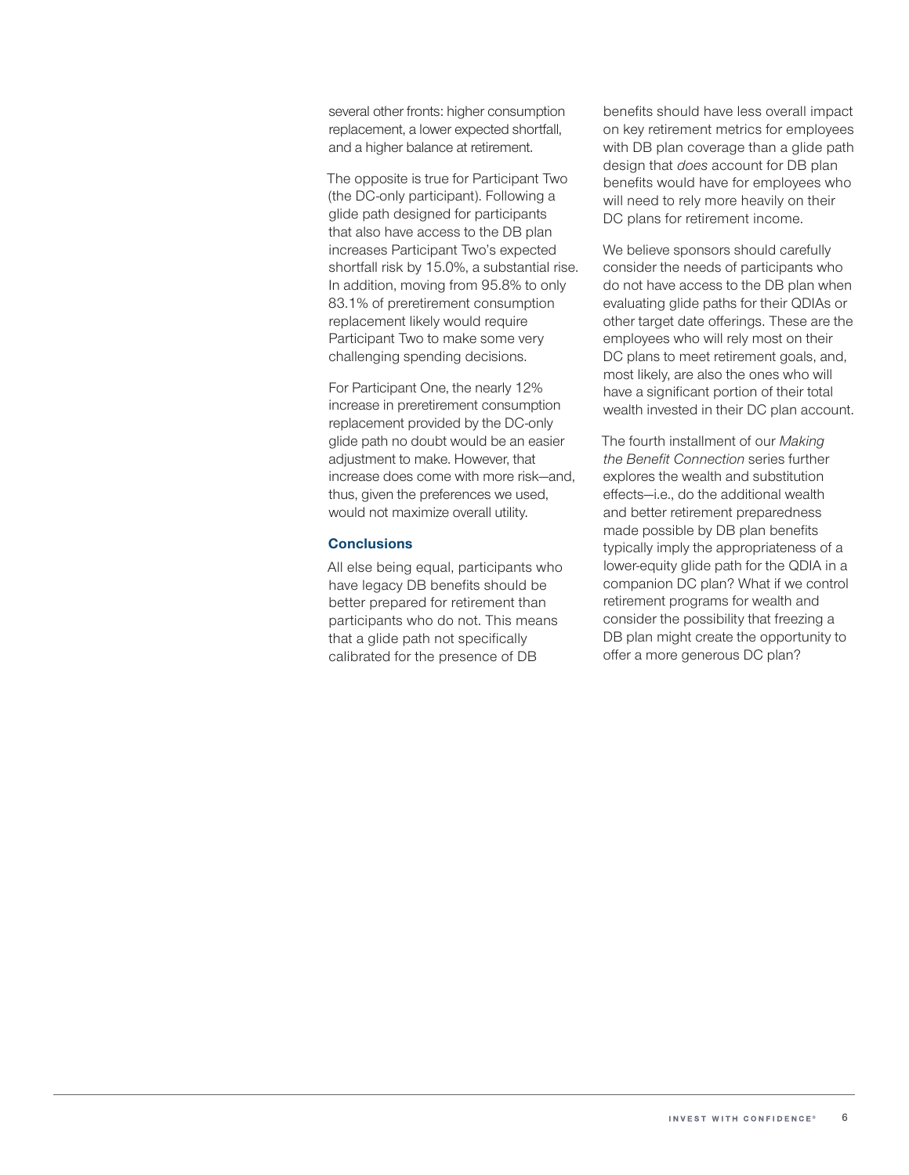several other fronts: higher consumption replacement, a lower expected shortfall, and a higher balance at retirement.

The opposite is true for Participant Two (the DC‑only participant). Following a glide path designed for participants that also have access to the DB plan increases Participant Two's expected shortfall risk by 15.0%, a substantial rise. In addition, moving from 95.8% to only 83.1% of preretirement consumption replacement likely would require Participant Two to make some very challenging spending decisions.

For Participant One, the nearly 12% increase in preretirement consumption replacement provided by the DC‑only glide path no doubt would be an easier adjustment to make. However, that increase does come with more risk—and, thus, given the preferences we used, would not maximize overall utility.

### **Conclusions**

All else being equal, participants who have legacy DB benefits should be better prepared for retirement than participants who do not. This means that a glide path not specifically calibrated for the presence of DB

benefits should have less overall impact on key retirement metrics for employees with DB plan coverage than a glide path design that *does* account for DB plan benefits would have for employees who will need to rely more heavily on their DC plans for retirement income.

We believe sponsors should carefully consider the needs of participants who do not have access to the DB plan when evaluating glide paths for their QDIAs or other target date offerings. These are the employees who will rely most on their DC plans to meet retirement goals, and, most likely, are also the ones who will have a significant portion of their total wealth invested in their DC plan account.

The fourth installment of our *Making the Benefit Connection* series further explores the wealth and substitution effects—i.e., do the additional wealth and better retirement preparedness made possible by DB plan benefits typically imply the appropriateness of a lower-equity glide path for the QDIA in a companion DC plan? What if we control retirement programs for wealth and consider the possibility that freezing a DB plan might create the opportunity to offer a more generous DC plan?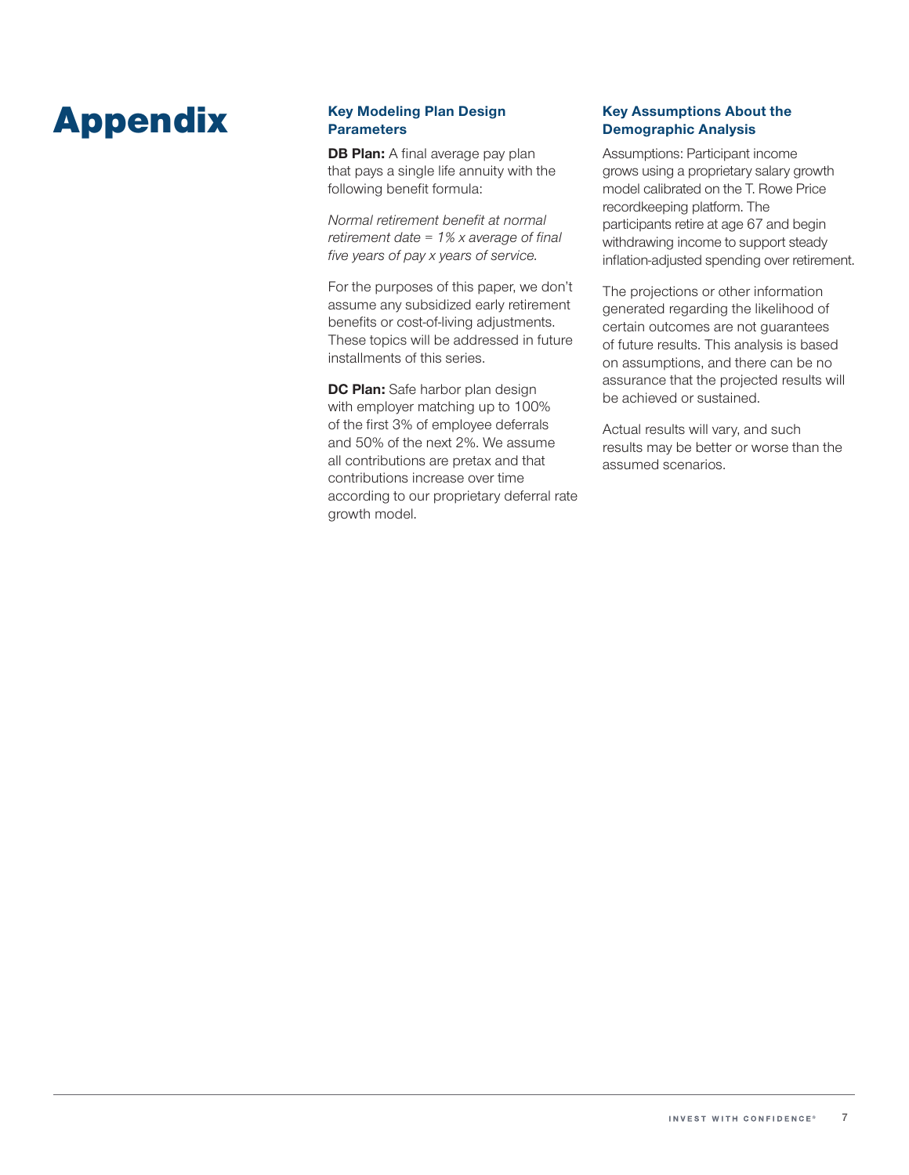# Appendix **Key Modeling Plan Design**

# **Parameters**

**DB Plan:** A final average pay plan that pays a single life annuity with the following benefit formula:

*Normal retirement benefit at normal retirement date = 1% x average of final five years of pay x years of service.*

For the purposes of this paper, we don't assume any subsidized early retirement benefits or cost-of-living adjustments. These topics will be addressed in future installments of this series.

**DC Plan:** Safe harbor plan design with employer matching up to 100% of the first 3% of employee deferrals and 50% of the next 2%. We assume all contributions are pretax and that contributions increase over time according to our proprietary deferral rate growth model.

### **Key Assumptions About the Demographic Analysis**

Assumptions: Participant income grows using a proprietary salary growth model calibrated on the T. Rowe Price recordkeeping platform. The participants retire at age 67 and begin withdrawing income to support steady inflation‑adjusted spending over retirement.

The projections or other information generated regarding the likelihood of certain outcomes are not guarantees of future results. This analysis is based on assumptions, and there can be no assurance that the projected results will be achieved or sustained.

Actual results will vary, and such results may be better or worse than the assumed scenarios.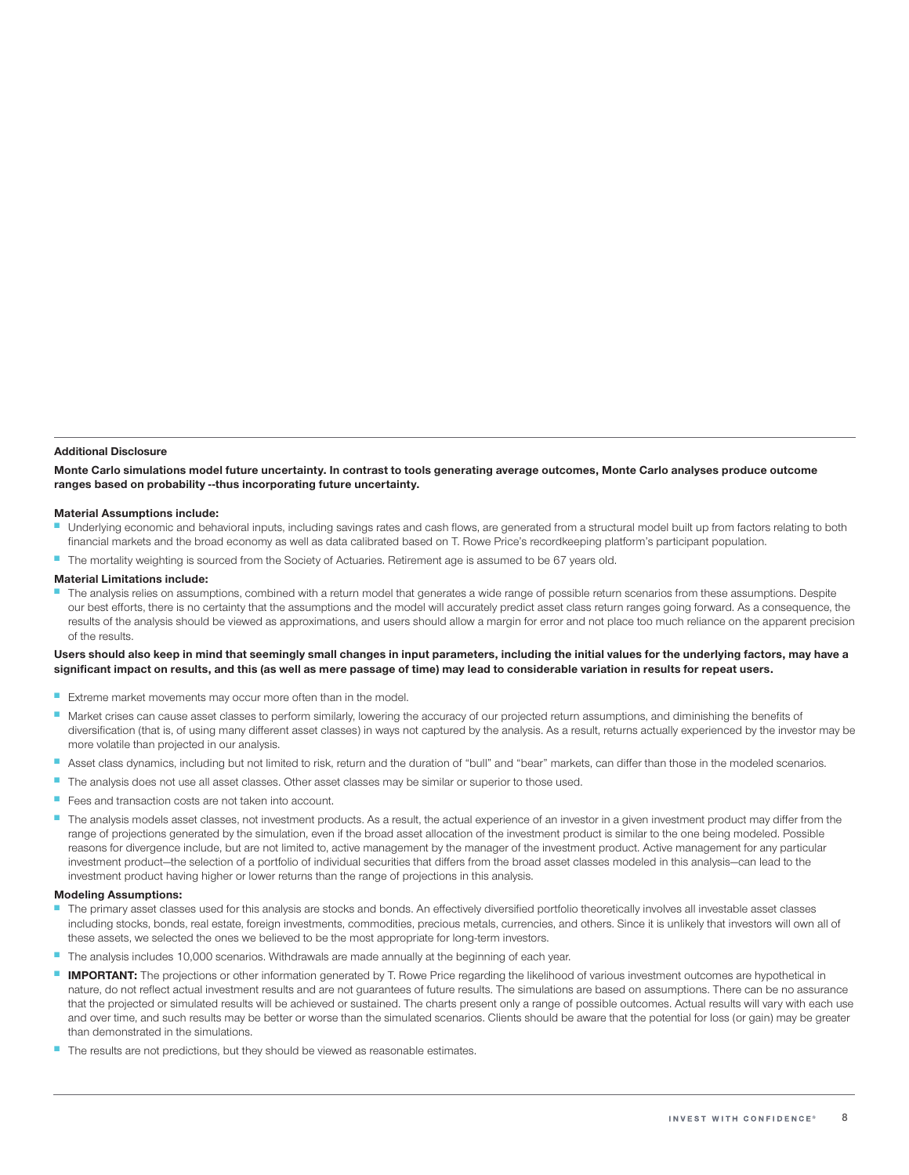#### **Additional Disclosure**

**Monte Carlo simulations model future uncertainty. In contrast to tools generating average outcomes, Monte Carlo analyses produce outcome ranges based on probability ‑‑thus incorporating future uncertainty.**

### **Material Assumptions include:**

- Underlying economic and behavioral inputs, including savings rates and cash flows, are generated from a structural model built up from factors relating to both financial markets and the broad economy as well as data calibrated based on T. Rowe Price's recordkeeping platform's participant population.
- The mortality weighting is sourced from the Society of Actuaries. Retirement age is assumed to be 67 years old.

#### **Material Limitations include:**

The analysis relies on assumptions, combined with a return model that generates a wide range of possible return scenarios from these assumptions. Despite our best efforts, there is no certainty that the assumptions and the model will accurately predict asset class return ranges going forward. As a consequence, the results of the analysis should be viewed as approximations, and users should allow a margin for error and not place too much reliance on the apparent precision of the results.

### **Users should also keep in mind that seemingly small changes in input parameters, including the initial values for the underlying factors, may have a significant impact on results, and this (as well as mere passage of time) may lead to considerable variation in results for repeat users.**

- Extreme market movements may occur more often than in the model.
- Market crises can cause asset classes to perform similarly, lowering the accuracy of our projected return assumptions, and diminishing the benefits of diversification (that is, of using many different asset classes) in ways not captured by the analysis. As a result, returns actually experienced by the investor may be more volatile than projected in our analysis.
- Asset class dynamics, including but not limited to risk, return and the duration of "bull" and "bear" markets, can differ than those in the modeled scenarios.
- The analysis does not use all asset classes. Other asset classes may be similar or superior to those used.
- Fees and transaction costs are not taken into account.
- The analysis models asset classes, not investment products. As a result, the actual experience of an investor in a given investment product may differ from the range of projections generated by the simulation, even if the broad asset allocation of the investment product is similar to the one being modeled. Possible reasons for divergence include, but are not limited to, active management by the manager of the investment product. Active management for any particular investment product—the selection of a portfolio of individual securities that differs from the broad asset classes modeled in this analysis—can lead to the investment product having higher or lower returns than the range of projections in this analysis.

### **Modeling Assumptions:**

- The primary asset classes used for this analysis are stocks and bonds. An effectively diversified portfolio theoretically involves all investable asset classes including stocks, bonds, real estate, foreign investments, commodities, precious metals, currencies, and others. Since it is unlikely that investors will own all of these assets, we selected the ones we believed to be the most appropriate for long-term investors.
- The analysis includes 10,000 scenarios. Withdrawals are made annually at the beginning of each year.
- **IMPORTANT:** The projections or other information generated by T. Rowe Price regarding the likelihood of various investment outcomes are hypothetical in nature, do not reflect actual investment results and are not guarantees of future results. The simulations are based on assumptions. There can be no assurance that the projected or simulated results will be achieved or sustained. The charts present only a range of possible outcomes. Actual results will vary with each use and over time, and such results may be better or worse than the simulated scenarios. Clients should be aware that the potential for loss (or gain) may be greater than demonstrated in the simulations.
- The results are not predictions, but they should be viewed as reasonable estimates.